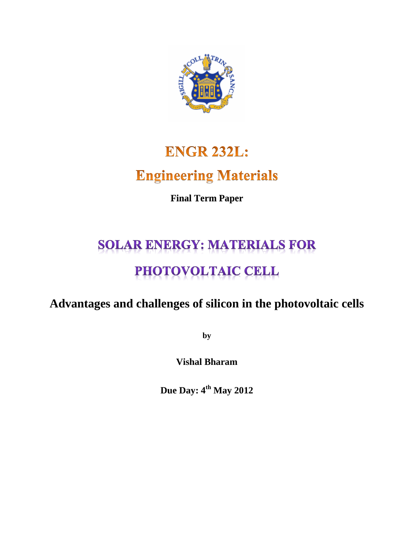

# **ENGR 232L: Engineering Materials**

**Final Term Paper**

# **SOLAR ENERGY: MATERIALS FOR** PHOTOVOLTAIC CELL

# **Advantages and challenges of silicon in the photovoltaic cells**

**by**

**Vishal Bharam**

**Due Day: 4th May 2012**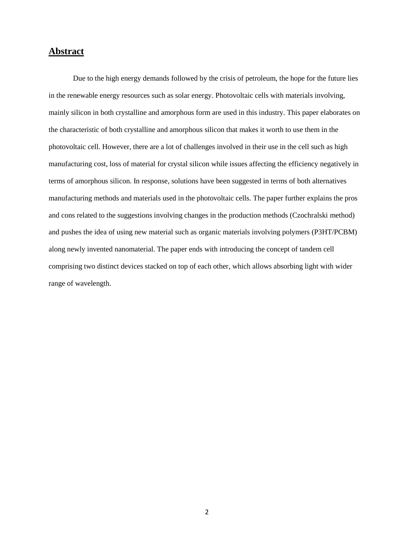# **Abstract**

Due to the high energy demands followed by the crisis of petroleum, the hope for the future lies in the renewable energy resources such as solar energy. Photovoltaic cells with materials involving, mainly silicon in both crystalline and amorphous form are used in this industry. This paper elaborates on the characteristic of both crystalline and amorphous silicon that makes it worth to use them in the photovoltaic cell. However, there are a lot of challenges involved in their use in the cell such as high manufacturing cost, loss of material for crystal silicon while issues affecting the efficiency negatively in terms of amorphous silicon. In response, solutions have been suggested in terms of both alternatives manufacturing methods and materials used in the photovoltaic cells. The paper further explains the pros and cons related to the suggestions involving changes in the production methods (Czochralski method) and pushes the idea of using new material such as organic materials involving polymers (P3HT/PCBM) along newly invented nanomaterial. The paper ends with introducing the concept of tandem cell comprising two distinct devices stacked on top of each other, which allows absorbing light with wider range of wavelength.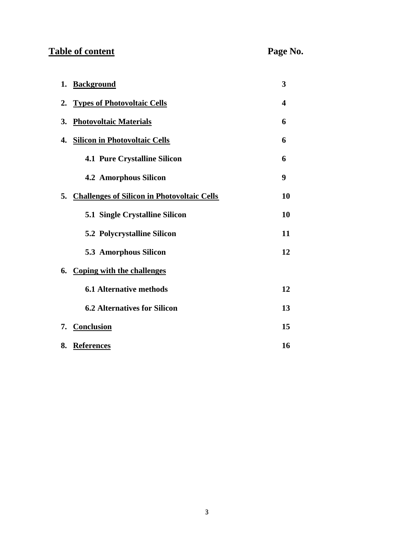# **Table of content Page No.**

| 1. | <b>Background</b>                              | 3  |
|----|------------------------------------------------|----|
| 2. | <b>Types of Photovoltaic Cells</b>             | 4  |
| 3. | <b>Photovoltaic Materials</b>                  | 6  |
| 4. | <b>Silicon in Photovoltaic Cells</b>           | 6  |
|    | <b>4.1 Pure Crystalline Silicon</b>            | 6  |
|    | <b>4.2 Amorphous Silicon</b>                   | 9  |
|    | 5. Challenges of Silicon in Photovoltaic Cells | 10 |
|    | <b>5.1 Single Crystalline Silicon</b>          | 10 |
|    | <b>5.2 Polycrystalline Silicon</b>             | 11 |
|    | 5.3 Amorphous Silicon                          | 12 |
|    | 6. Coping with the challenges                  |    |
|    | <b>6.1 Alternative methods</b>                 | 12 |
|    | <b>6.2 Alternatives for Silicon</b>            | 13 |
| 7. | <b>Conclusion</b>                              | 15 |
| 8. | <b>References</b>                              | 16 |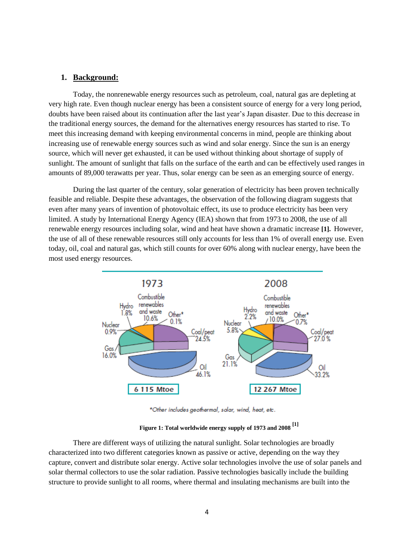### **1. Background:**

Today, the nonrenewable energy resources such as petroleum, coal, natural gas are depleting at very high rate. Even though nuclear energy has been a consistent source of energy for a very long period, doubts have been raised about its continuation after the last year's Japan disaster. Due to this decrease in the traditional energy sources, the demand for the alternatives energy resources has started to rise. To meet this increasing demand with keeping environmental concerns in mind, people are thinking about increasing use of renewable energy sources such as wind and solar energy. Since the sun is an energy source, which will never get exhausted, it can be used without thinking about shortage of supply of sunlight. The amount of sunlight that falls on the surface of the earth and can be effectively used ranges in amounts of 89,000 terawatts per year. Thus, solar energy can be seen as an emerging source of energy.

During the last quarter of the century, solar generation of electricity has been proven technically feasible and reliable. Despite these advantages, the observation of the following diagram suggests that even after many years of invention of photovoltaic effect, its use to produce electricity has been very limited. A study by International Energy Agency (IEA) shown that from 1973 to 2008, the use of all renewable energy resources including solar, wind and heat have shown a dramatic increase **[1].** However, the use of all of these renewable resources still only accounts for less than 1% of overall energy use. Even today, oil, coal and natural gas, which still counts for over 60% along with nuclear energy, have been the most used energy resources.



\*Other includes geothermal, solar, wind, heat, etc.

**Figure 1: Total worldwide energy supply of 1973 and 2008 [1]**

There are different ways of utilizing the natural sunlight. Solar technologies are broadly characterized into two different categories known as passive or active, depending on the way they capture, convert and distribute solar energy. Active solar technologies involve the use of solar panels and solar thermal collectors to use the solar radiation. Passive technologies basically include the building structure to provide sunlight to all rooms, where thermal and insulating mechanisms are built into the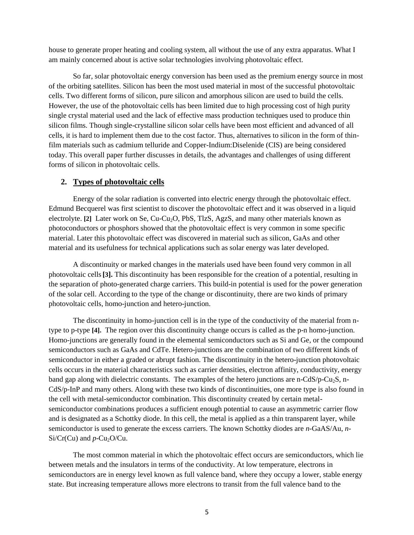house to generate proper heating and cooling system, all without the use of any extra apparatus. What I am mainly concerned about is active solar technologies involving photovoltaic effect.

So far, solar photovoltaic energy conversion has been used as the premium energy source in most of the orbiting satellites. Silicon has been the most used material in most of the successful photovoltaic cells. Two different forms of silicon, pure silicon and amorphous silicon are used to build the cells. However, the use of the photovoltaic cells has been limited due to high processing cost of high purity single crystal material used and the lack of effective mass production techniques used to produce thin silicon films. Though single-crystalline silicon solar cells have been most efficient and advanced of all cells, it is hard to implement them due to the cost factor. Thus, alternatives to silicon in the form of thinfilm materials such as cadmium telluride and Copper-Indium:Diselenide (CIS) are being considered today. This overall paper further discusses in details, the advantages and challenges of using different forms of silicon in photovoltaic cells.

#### **2. Types of photovoltaic cells**

Energy of the solar radiation is converted into electric energy through the photovoltaic effect. Edmund Becquerel was first scientist to discover the photovoltaic effect and it was observed in a liquid electrolyte. [2] Later work on Se, Cu-Cu<sub>2</sub>O, PbS, TlzS, AgzS, and many other materials known as photoconductors or phosphors showed that the photovoltaic effect is very common in some specific material. Later this photovoltaic effect was discovered in material such as silicon, GaAs and other material and its usefulness for technical applications such as solar energy was later developed.

A discontinuity or marked changes in the materials used have been found very common in all photovoltaic cells**[3].** This discontinuity has been responsible for the creation of a potential, resulting in the separation of photo-generated charge carriers. This build-in potential is used for the power generation of the solar cell. According to the type of the change or discontinuity, there are two kinds of primary photovoltaic cells, homo-junction and hetero-junction.

The discontinuity in homo-junction cell is in the type of the conductivity of the material from ntype to p-type **[4].** The region over this discontinuity change occurs is called as the p-n homo-junction. Homo-junctions are generally found in the elemental semiconductors such as Si and Ge, or the compound semiconductors such as GaAs and CdTe. Hetero-junctions are the combination of two different kinds of semiconductor in either a graded or abrupt fashion. The discontinuity in the hetero-junction photovoltaic cells occurs in the material characteristics such as carrier densities, electron affinity, conductivity, energy band gap along with dielectric constants. The examples of the hetero junctions are n-CdS/p-Cu<sub>2</sub>S, n-CdS/p-InP and many others. Along with these two kinds of discontinuities, one more type is also found in the cell with metal-semiconductor combination. This discontinuity created by certain metalsemiconductor combinations produces a sufficient enough potential to cause an asymmetric carrier flow and is designated as a Schottky diode. In this cell, the metal is applied as a thin transparent layer, while semiconductor is used to generate the excess carriers. The known Schottky diodes are *n-*GaAS/Au, *n*- $Si/Cr(Cu)$  and  $p$ -Cu<sub>2</sub>O/Cu.

The most common material in which the photovoltaic effect occurs are semiconductors, which lie between metals and the insulators in terms of the conductivity. At low temperature, electrons in semiconductors are in energy level known as full valence band, where they occupy a lower, stable energy state. But increasing temperature allows more electrons to transit from the full valence band to the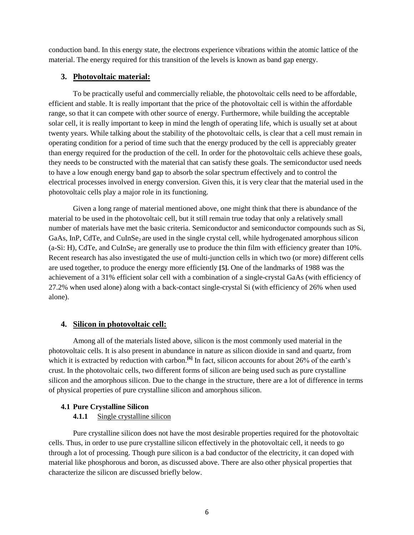conduction band. In this energy state, the electrons experience vibrations within the atomic lattice of the material. The energy required for this transition of the levels is known as band gap energy.

# **3. Photovoltaic material:**

To be practically useful and commercially reliable, the photovoltaic cells need to be affordable, efficient and stable. It is really important that the price of the photovoltaic cell is within the affordable range, so that it can compete with other source of energy. Furthermore, while building the acceptable solar cell, it is really important to keep in mind the length of operating life, which is usually set at about twenty years. While talking about the stability of the photovoltaic cells, is clear that a cell must remain in operating condition for a period of time such that the energy produced by the cell is appreciably greater than energy required for the production of the cell. In order for the photovoltaic cells achieve these goals, they needs to be constructed with the material that can satisfy these goals. The semiconductor used needs to have a low enough energy band gap to absorb the solar spectrum effectively and to control the electrical processes involved in energy conversion. Given this, it is very clear that the material used in the photovoltaic cells play a major role in its functioning.

Given a long range of material mentioned above, one might think that there is abundance of the material to be used in the photovoltaic cell, but it still remain true today that only a relatively small number of materials have met the basic criteria. Semiconductor and semiconductor compounds such as Si, GaAs, InP, CdTe, and CuInSe<sub>2</sub> are used in the single crystal cell, while hydrogenated amorphous silicon  $(a-Si: H)$ , CdTe, and CuInSe<sub>2</sub> are generally use to produce the thin film with efficiency greater than 10%. Recent research has also investigated the use of multi-junction cells in which two (or more) different cells are used together, to produce the energy more efficiently **[5].** One of the landmarks of 1988 was the achievement of a 31% efficient solar cell with a combination of a single-crystal GaAs (with efficiency of 27.2% when used alone) along with a back-contact single-crystal Si (with efficiency of 26% when used alone).

# **4. Silicon in photovoltaic cell:**

Among all of the materials listed above, silicon is the most commonly used material in the photovoltaic cells. It is also present in abundance in nature as silicon dioxide in sand and quartz, from which it is extracted by reduction with carbon.<sup>[6]</sup> In fact, silicon accounts for about 26% of the earth's crust. In the photovoltaic cells, two different forms of silicon are being used such as pure crystalline silicon and the amorphous silicon. Due to the change in the structure, there are a lot of difference in terms of physical properties of pure crystalline silicon and amorphous silicon.

# **4.1 Pure Crystalline Silicon**

# **4.1.1** Single crystalline silicon

Pure crystalline silicon does not have the most desirable properties required for the photovoltaic cells. Thus, in order to use pure crystalline silicon effectively in the photovoltaic cell, it needs to go through a lot of processing. Though pure silicon is a bad conductor of the electricity, it can doped with material like phosphorous and boron, as discussed above. There are also other physical properties that characterize the silicon are discussed briefly below.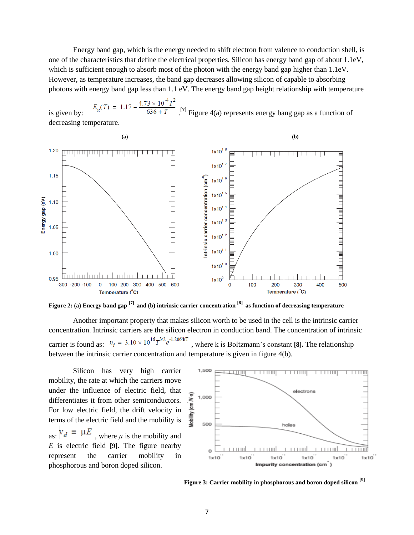Energy band gap, which is the energy needed to shift electron from valence to conduction shell, is one of the characteristics that define the electrical properties. Silicon has energy band gap of about 1.1eV, which is sufficient enough to absorb most of the photon with the energy band gap higher than 1.1eV. However, as temperature increases, the band gap decreases allowing silicon of capable to absorbing photons with energy band gap less than 1.1 eV. The energy band gap height relationship with temperature

is given by:  $E_g(1) = 1.17 - 636 + T$  [7] Figure 4(a) represents energy bang gap as a function of decreasing temperature.



**Figure 2: (a) Energy band gap [7] and (b) intrinsic carrier concentration [8] as function of decreasing temperature**

Another important property that makes silicon worth to be used in the cell is the intrinsic carrier concentration. Intrinsic carriers are the silicon electron in conduction band. The concentration of intrinsic carrier is found as:  $n_i = 3.10 \times 10^{16} T^{3/2} e^{-1.206/kT}$ , where k is Boltzmann's constant [8]. The relationship between the intrinsic carrier concentration and temperature is given in figure 4(b).

Silicon has very high carrier mobility, the rate at which the carriers move under the influence of electric field, that differentiates it from other semiconductors. For low electric field, the drift velocity in terms of the electric field and the mobility is as:  $V_d = \mu E$ , where  $\mu$  is the mobility and *E* is electric field **[9]**. The figure nearby represent the carrier mobility in phosphorous and boron doped silicon.



**Figure 3: Carrier mobility in phosphorous and boron doped silicon [9]**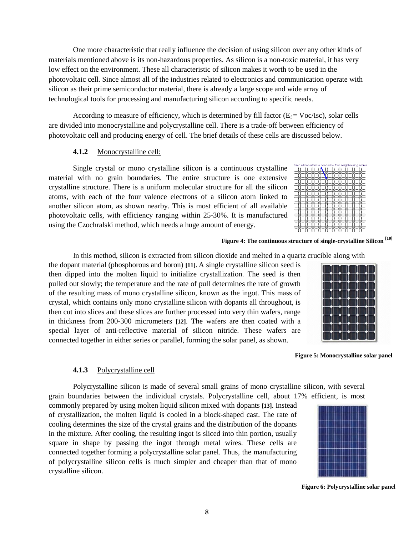One more characteristic that really influence the decision of using silicon over any other kinds of materials mentioned above is its non-hazardous properties. As silicon is a non-toxic material, it has very low effect on the environment. These all characteristic of silicon makes it worth to be used in the photovoltaic cell. Since almost all of the industries related to electronics and communication operate with silicon as their prime semiconductor material, there is already a large scope and wide array of technological tools for processing and manufacturing silicon according to specific needs.

According to measure of efficiency, which is determined by fill factor ( $E_f = \text{Voc/Isc}$ ), solar cells are divided into monocrystalline and polycrystalline cell. There is a trade-off between efficiency of photovoltaic cell and producing energy of cell. The brief details of these cells are discussed below.

## **4.1.2** Monocrystalline cell:

Single crystal or mono crystalline silicon is a continuous crystalline material with no grain boundaries. The entire structure is one extensive crystalline structure. There is a uniform molecular structure for all the silicon atoms, with each of the four valence electrons of a silicon atom linked to another silicon atom, as shown nearby. This is most efficient of all available photovoltaic cells, with efficiency ranging within 25-30%. It is manufactured using the Czochralski method, which needs a huge amount of energy.

|  |  | Each silicon atom is bonded to four neighbouring atoms |
|--|--|--------------------------------------------------------|
|  |  |                                                        |
|  |  |                                                        |
|  |  |                                                        |
|  |  |                                                        |
|  |  |                                                        |
|  |  |                                                        |
|  |  |                                                        |
|  |  |                                                        |
|  |  |                                                        |
|  |  |                                                        |
|  |  |                                                        |

#### **Figure 4: The continuous structure of single-crystalline Silicon [10]**

In this method, silicon is extracted from silicon dioxide and melted in a quartz crucible along with

the dopant material (phosphorous and boron) **[11].** A single crystalline silicon seed is then dipped into the molten liquid to initialize crystallization. The seed is then pulled out slowly; the temperature and the rate of pull determines the rate of growth of the resulting mass of mono crystalline silicon, known as the ingot. This mass of crystal, which contains only mono crystalline silicon with dopants all throughout, is then cut into slices and these slices are further processed into very thin wafers, range in thickness from 200-300 micrometers **[12]**. The wafers are then coated with a special layer of anti-reflective material of silicon nitride. These wafers are connected together in either series or parallel, forming the solar panel, as shown.



#### **4.1.3** Polycrystalline cell

Polycrystalline silicon is made of several small grains of mono crystalline silicon, with several grain boundaries between the individual crystals. Polycrystalline cell, about 17% efficient, is most

commonly prepared by using molten liquid silicon mixed with dopants **[13]**. Instead of crystallization, the molten liquid is cooled in a block-shaped cast. The rate of cooling determines the size of the crystal grains and the distribution of the dopants in the mixture. After cooling, the resulting ingot is sliced into thin portion, usually square in shape by passing the ingot through metal wires. These cells are connected together forming a polycrystalline solar panel. Thus, the manufacturing of polycrystalline silicon cells is much simpler and cheaper than that of mono crystalline silicon.

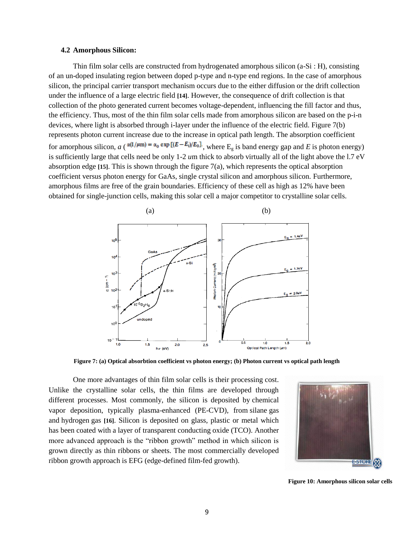#### **4.2 Amorphous Silicon:**

Thin film solar cells are constructed from hydrogenated amorphous silicon (a-Si : H), consisting of an un-doped insulating region between doped p-type and n-type end regions. In the case of amorphous silicon, the principal carrier transport mechanism occurs due to the either diffusion or the drift collection under the influence of a large electric field **[14]**. However, the consequence of drift collection is that collection of the photo generated current becomes voltage-dependent, influencing the fill factor and thus, the efficiency. Thus, most of the thin film solar cells made from amorphous silicon are based on the p-i-n devices, where light is absorbed through i-layer under the influence of the electric field. Figure 7(b) represents photon current increase due to the increase in optical path length. The absorption coefficient for amorphous silicon,  $a \left( \frac{\alpha (1/\mu m) = \alpha_0 \exp[(E - E_i)/E_0]}{m} \right)$ , where E<sub>g</sub> is band energy gap and *E* is photon energy) is sufficiently large that cells need be only 1-2 *u*m thick to absorb virtually all of the light above the l.7 eV absorption edge **[15]**. This is shown through the figure 7(a), which represents the optical absorption coefficient versus photon energy for GaAs, single crystal silicon and amorphous silicon. Furthermore, amorphous films are free of the grain boundaries. Efficiency of these cell as high as 12% have been obtained for single-junction cells, making this solar cell a major competitor to crystalline solar cells.



**Figure 7: (a) Optical absorbtion coefficient vs photon energy; (b) Photon current vs optical path length**

One more advantages of thin film solar cells is their processing cost. Unlike the crystalline solar cells, the thin films are developed through different processes. Most commonly, the silicon is deposited by chemical vapor deposition, typically plasma-enhanced (PE-CVD), from silane gas and hydrogen gas **[16]**. Silicon is deposited on glass, plastic or metal which has been coated with a layer of transparent conducting oxide (TCO). Another more advanced approach is the "ribbon growth" method in which silicon is grown directly as thin ribbons or sheets. The most commercially developed ribbon growth approach is EFG (edge-defined film-fed growth).



**Figure 10: Amorphous silicon solar cells**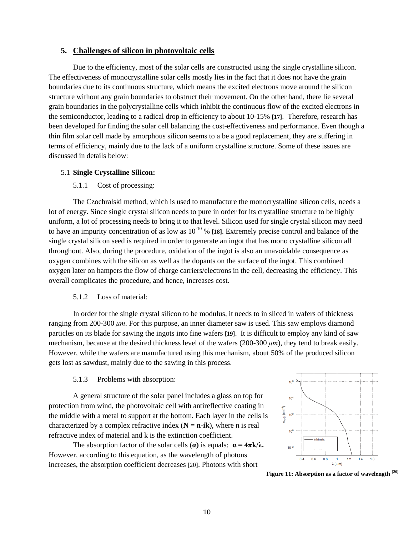## **5. Challenges of silicon in photovoltaic cells**

Due to the efficiency, most of the solar cells are constructed using the single crystalline silicon. The effectiveness of monocrystalline solar cells mostly lies in the fact that it does not have the grain boundaries due to its continuous structure, which means the excited electrons move around the silicon structure without any grain boundaries to obstruct their movement. On the other hand, there lie several grain boundaries in the polycrystalline cells which inhibit the continuous flow of the excited electrons in the semiconductor, leading to a radical drop in efficiency to about 10-15% **[17]**. Therefore, research has been developed for finding the solar cell balancing the cost-effectiveness and performance. Even though a thin film solar cell made by amorphous silicon seems to a be a good replacement, they are suffering in terms of efficiency, mainly due to the lack of a uniform crystalline structure. Some of these issues are discussed in details below:

#### 5.1 **Single Crystalline Silicon:**

#### 5.1.1 Cost of processing:

The Czochralski method, which is used to manufacture the monocrystalline silicon cells, needs a lot of energy. Since single crystal silicon needs to pure in order for its crystalline structure to be highly uniform, a lot of processing needs to bring it to that level. Silicon used for single crystal silicon may need to have an impurity concentration of as low as 10-10 % **[18]**. Extremely precise control and balance of the single crystal silicon seed is required in order to generate an ingot that has mono crystalline silicon all throughout. Also, during the procedure, oxidation of the ingot is also an unavoidable consequence as oxygen combines with the silicon as well as the dopants on the surface of the ingot. This combined oxygen later on hampers the flow of charge carriers/electrons in the cell, decreasing the efficiency. This overall complicates the procedure, and hence, increases cost.

#### 5.1.2 Loss of material:

In order for the single crystal silicon to be modulus, it needs to in sliced in wafers of thickness ranging from 200-300 *μm*. For this purpose, an inner diameter saw is used. This saw employs diamond particles on its blade for sawing the ingots into fine wafers **[19]**. It is difficult to employ any kind of saw mechanism, because at the desired thickness level of the wafers (200-300 *μm*), they tend to break easily. However, while the wafers are manufactured using this mechanism, about 50% of the produced silicon gets lost as sawdust, mainly due to the sawing in this process.

#### 5.1.3 Problems with absorption:

A general structure of the solar panel includes a glass on top for protection from wind, the photovoltaic cell with antireflective coating in the middle with a metal to support at the bottom. Each layer in the cells is characterized by a complex refractive index  $(N = n-ik)$ , where n is real refractive index of material and k is the extinction coefficient.

The absorption factor of the solar cells **(** $\alpha$ **)** is equals:  $\alpha = 4\pi k/\lambda$ . However, according to this equation, as the wavelength of photons increases, the absorption coefficient decreases [20]. Photons with short



**Figure 11: Absorption as a factor of wavelength [20]**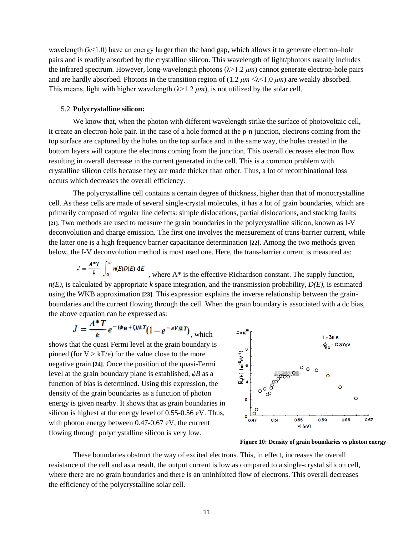wavelength  $(\lambda < 1.0)$  have an energy larger than the band gap, which allows it to generate electron–hole pairs and is readily absorbed by the crystalline silicon. This wavelength of light/photons usually includes the infrared spectrum. However, long-wavelength photons  $(\lambda > 1.2 \mu m)$  cannot generate electron-hole pairs and are hardly absorbed. Photons in the transition region of (1.2 *μm* <λ<1.0 *μm*) are weakly absorbed. This means, light with higher wavelength  $(\lambda > 1.2 \mu m)$ , is not utilized by the solar cell.

#### 5.2 **Polycrystalline silicon:**

We know that, when the photon with different wavelength strike the surface of photovoltaic cell, it create an electron-hole pair. In the case of a hole formed at the p-n junction, electrons coming from the top surface are captured by the holes on the top surface and in the same way, the holes created in the bottom layers will capture the electrons coming from the junction. This overall decreases electron flow resulting in overall decrease in the current generated in the cell. This is a common problem with crystalline silicon cells because they are made thicker than other. Thus, a lot of recombinational loss occurs which decreases the overall efficiency.

The polycrystalline cell contains a certain degree of thickness, higher than that of monocrystalline cell. As these cells are made of several single-crystal molecules, it has a lot of grain boundaries, which are primarily composed of regular line defects: simple dislocations, partial dislocations, and stacking faults **[21]**. Two methods are used to measure the grain boundaries in the polycrystalline silicon, known as I-V deconvolution and charge emission. The first one involves the measurement of trans-barrier current, while the latter one is a high frequency barrier capacitance determination **[22]**. Among the two methods given below, the I-V deconvolution method is most used one. Here, the trans-barrier current is measured as:

$$
J = \frac{A^*T}{k} \int_0^\infty n(E)D(E) \, \mathrm{d}E
$$

, where A\* is the effective Richardson constant. The supply function,  $n(E)$ , is calculated by appropriate *k* space integration, and the transmission probability,  $D(E)$ , is estimated using the WKB approximation **[23]**. This expression explains the inverse relationship between the grainboundaries and the current flowing through the cell. When the grain boundary is associated with a dc bias, the above equation can be expressed as:

$$
J = \frac{A^*T}{k}e^{-(\phi_B+\zeta)/kT}(1-e^{-eV/kT})
$$
, which

shows that the quasi Fermi level at the grain boundary is pinned (for  $V > kT/e$ ) for the value close to the more negative grain **[24]**. Once the position of the quasi-Fermi level at the grain boundary plane is established, *ϕB* as a function of bias is determined. Using this expression, the density of the grain boundaries as a function of photon energy is given nearby. It shows that as grain boundaries in silicon is highest at the energy level of 0.55-0.56 eV. Thus, with photon energy between 0.47-0.67 eV, the current flowing through polycrystalline silicon is very low.



**Figure 10: Density of grain boundaries vs photon energy**

These boundaries obstruct the way of excited electrons. This, in effect, increases the overall resistance of the cell and as a result, the output current is low as compared to a single-crystal silicon cell, where there are no grain boundaries and there is an uninhibited flow of electrons. This overall decreases the efficiency of the polycrystalline solar cell.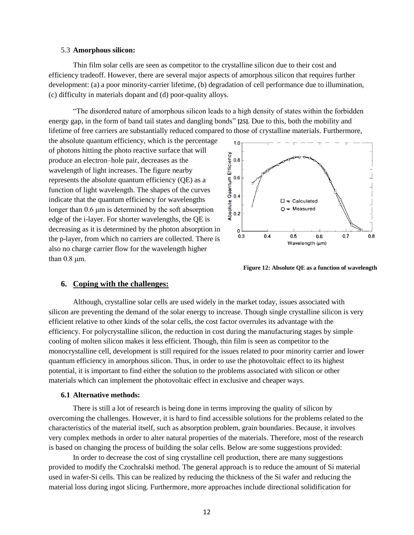#### 5.3 **Amorphous silicon:**

Thin film solar cells are seen as competitor to the crystalline silicon due to their cost and efficiency tradeoff. However, there are several major aspects of amorphous silicon that requires further development: (a) a poor minority-carrier lifetime, (b) degradation of cell performance due to illumination, (c) difficulty in materials dopant and (d) poor-quality alloys.

"The disordered nature of amorphous silicon leads to a high density of states within the forbidden energy gap, in the form of band tail states and dangling bonds" **[25]**. Due to this, both the mobility and lifetime of free carriers are substantially reduced compared to those of crystalline materials. Furthermore,

the absolute quantum efficiency, which is the percentage of photons hitting the photo reactive surface that will produce an electron–hole pair, decreases as the wavelength of light increases. The figure nearby represents the absolute quantum efficiency (QE) as a function of light wavelength. The shapes of the curves indicate that the quantum efficiency for wavelengths longer than 0.6 μm is determined by the soft absorption edge of the i-layer. For shorter wavelengths, the QE is decreasing as it is determined by the photon absorption in the p-layer, from which no carriers are collected. There is also no charge carrier flow for the wavelength higher than 0.8 μm.



**Figure 12: Absolute QE as a function of wavelength** 

# **6. Coping with the challenges:**

Although, crystalline solar cells are used widely in the market today, issues associated with silicon are preventing the demand of the solar energy to increase. Though single crystalline silicon is very efficient relative to other kinds of the solar cells, the cost factor overrules its advantage with the efficiency. For polycrystalline silicon, the reduction in cost during the manufacturing stages by simple cooling of molten silicon makes it less efficient. Though, thin film is seen as competitor to the monocrystalline cell, development is still required for the issues related to poor minority carrier and lower quantum efficiency in amorphous silicon. Thus, in order to use the photovoltaic effect to its highest potential, it is important to find either the solution to the problems associated with silicon or other materials which can implement the photovoltaic effect in exclusive and cheaper ways.

#### **6.1 Alternative methods:**

There is still a lot of research is being done in terms improving the quality of silicon by overcoming the challenges. However, it is hard to find accessible solutions for the problems related to the characteristics of the material itself, such as absorption problem, grain boundaries. Because, it involves very complex methods in order to alter natural properties of the materials. Therefore, most of the research is based on changing the process of building the solar cells. Below are some suggestions provided:

In order to decrease the cost of sing crystalline cell production, there are many suggestions provided to modify the Czochralski method. The general approach is to reduce the amount of Si material used in wafer-Si cells. This can be realized by reducing the thickness of the Si wafer and reducing the material loss during ingot slicing. Furthermore, more approaches include directional solidification for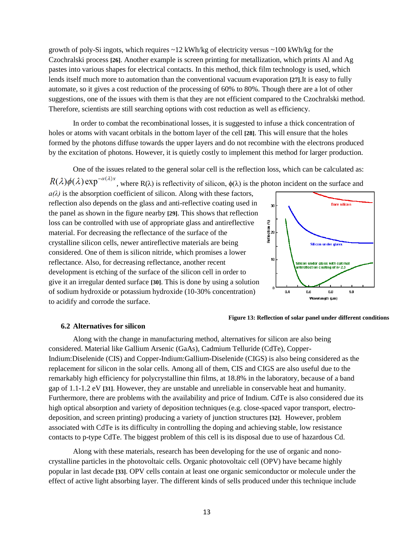growth of poly-Si ingots, which requires  $\sim$ 12 kWh/kg of electricity versus  $\sim$ 100 kWh/kg for the Czochralski process **[26]**. Another example is screen printing for metallization, which prints Al and Ag pastes into various shapes for electrical contacts. In this method, thick film technology is used, which lends itself much more to automation than the conventional vacuum evaporation **[27]**.It is easy to fully automate, so it gives a cost reduction of the processing of 60% to 80%. Though there are a lot of other suggestions, one of the issues with them is that they are not efficient compared to the Czochralski method. Therefore, scientists are still searching options with cost reduction as well as efficiency.

In order to combat the recombinational losses, it is suggested to infuse a thick concentration of holes or atoms with vacant orbitals in the bottom layer of the cell **[28]**. This will ensure that the holes formed by the photons diffuse towards the upper layers and do not recombine with the electrons produced by the excitation of photons. However, it is quietly costly to implement this method for larger production.

One of the issues related to the general solar cell is the reflection loss, which can be calculated as:  $R(\lambda)\phi(\lambda)$  exp<sup> $-\alpha(\lambda)x$ </sup>, where R( $\lambda$ ) is reflectivity of silicon,  $\phi(\lambda)$  is the photon incident on the surface and

 $a(\lambda)$  is the absorption coefficient of silicon. Along with these factors, reflection also depends on the glass and anti-reflective coating used in the panel as shown in the figure nearby **[29]**. This shows that reflection loss can be controlled with use of appropriate glass and antireflective material. For decreasing the reflectance of the surface of the crystalline silicon cells, newer antireflective materials are being considered. One of them is silicon nitride, which promises a lower reflectance. Also, for decreasing reflectance, another recent development is etching of the surface of the silicon cell in order to give it an irregular dented surface **[30]**. This is done by using a solution of sodium hydroxide or potassium hydroxide (10-30% concentration) to acidify and corrode the surface.



#### **6.2 Alternatives for silicon**



Along with the change in manufacturing method, alternatives for silicon are also being considered. Material like Gallium Arsenic (GaAs), Cadmium Telluride (CdTe), Copper-Indium:Diselenide (CIS) and Copper-Indium:Gallium-Diselenide (CIGS) is also being considered as the replacement for silicon in the solar cells. Among all of them, CIS and CIGS are also useful due to the remarkably high efficiency for polycrystalline thin films, at 18.8% in the laboratory, because of a band gap of 1.1-1.2 eV **[31]**. However, they are unstable and unreliable in conservable heat and humanity. Furthermore, there are problems with the availability and price of Indium. CdTe is also considered due its high optical absorption and variety of deposition techniques (e.g. close-spaced vapor transport, electrodeposition, and screen printing) producing a variety of junction structures **[32]**. However, problem associated with CdTe is its difficulty in controlling the doping and achieving stable, low resistance contacts to p-type CdTe. The biggest problem of this cell is its disposal due to use of hazardous Cd.

Along with these materials, research has been developing for the use of organic and nonocrystalline particles in the photovoltaic cells. Organic photovoltaic cell (OPV) have became highly popular in last decade **[33]**. OPV cells contain at least one organic semiconductor or molecule under the effect of active light absorbing layer. The different kinds of sells produced under this technique include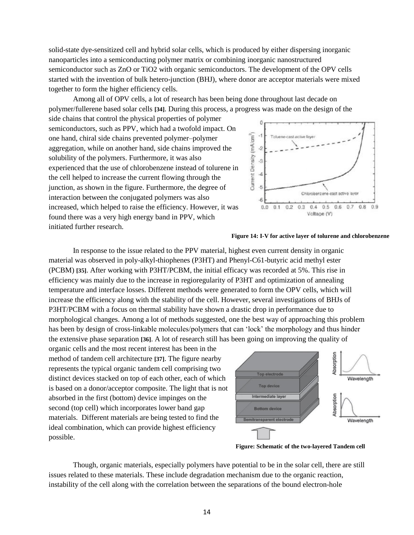solid-state dye-sensitized cell and hybrid solar cells, which is produced by either dispersing inorganic nanoparticles into a semiconducting polymer matrix or combining inorganic nanostructured semiconductor such as ZnO or TiO2 with organic semiconductors. The development of the OPV cells started with the invention of bulk hetero-junction (BHJ), where donor are acceptor materials were mixed together to form the higher efficiency cells.

Among all of OPV cells, a lot of research has been being done throughout last decade on polymer/fullerene based solar cells **[34]**. During this process, a progress was made on the design of the

side chains that control the physical properties of polymer semiconductors, such as PPV, which had a twofold impact. On one hand, chiral side chains prevented polymer–polymer aggregation, while on another hand, side chains improved the solubility of the polymers. Furthermore, it was also experienced that the use of chlorobenzene instead of tolurene in the cell helped to increase the current flowing through the junction, as shown in the figure. Furthermore, the degree of interaction between the conjugated polymers was also increased, which helped to raise the efficiency. However, it was found there was a very high energy band in PPV, which initiated further research.



#### **Figure 14: I-V for active layer of tolurene and chlorobenzene**

In response to the issue related to the PPV material, highest even current density in organic material was observed in poly-alkyl-thiophenes (P3HT) and Phenyl-C61-butyric acid methyl ester (PCBM) **[35]**. After working with P3HT/PCBM, the initial efficacy was recorded at 5%. This rise in efficiency was mainly due to the increase in regioregularity of P3HT and optimization of annealing temperature and interface losses. Different methods were generated to form the OPV cells, which will increase the efficiency along with the stability of the cell. However, several investigations of BHJs of P3HT/PCBM with a focus on thermal stability have shown a drastic drop in performance due to morphological changes. Among a lot of methods suggested, one the best way of approaching this problem has been by design of cross-linkable molecules/polymers that can 'lock' the morphology and thus hinder the extensive phase separation **[36]**. A lot of research still has been going on improving the quality of

organic cells and the most recent interest has been in the method of tandem cell architecture **[37]**. The figure nearby represents the typical organic tandem cell comprising two distinct devices stacked on top of each other, each of which is based on a donor/acceptor composite. The light that is not absorbed in the first (bottom) device impinges on the second (top cell) which incorporates lower band gap materials. Different materials are being tested to find the ideal combination, which can provide highest efficiency possible.



**Figure: Schematic of the two-layered Tandem cell**

Though, organic materials, especially polymers have potential to be in the solar cell, there are still issues related to these materials. These include degradation mechanism due to the organic reaction, instability of the cell along with the correlation between the separations of the bound electron-hole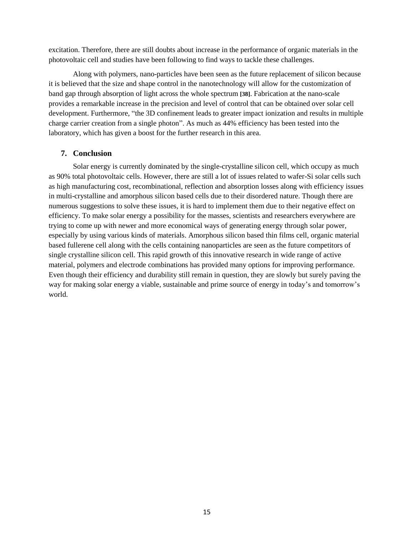excitation. Therefore, there are still doubts about increase in the performance of organic materials in the photovoltaic cell and studies have been following to find ways to tackle these challenges.

Along with polymers, nano-particles have been seen as the future replacement of silicon because it is believed that the size and shape control in the nanotechnology will allow for the customization of band gap through absorption of light across the whole spectrum **[38]**. Fabrication at the nano-scale provides a remarkable increase in the precision and level of control that can be obtained over solar cell development. Furthermore, "the 3D confinement leads to greater impact ionization and results in multiple charge carrier creation from a single photon". As much as 44% efficiency has been tested into the laboratory, which has given a boost for the further research in this area.

#### **7. Conclusion**

Solar energy is currently dominated by the single-crystalline silicon cell, which occupy as much as 90% total photovoltaic cells. However, there are still a lot of issues related to wafer-Si solar cells such as high manufacturing cost, recombinational, reflection and absorption losses along with efficiency issues in multi-crystalline and amorphous silicon based cells due to their disordered nature. Though there are numerous suggestions to solve these issues, it is hard to implement them due to their negative effect on efficiency. To make solar energy a possibility for the masses, scientists and researchers everywhere are trying to come up with newer and more economical ways of generating energy through solar power, especially by using various kinds of materials. Amorphous silicon based thin films cell, organic material based fullerene cell along with the cells containing nanoparticles are seen as the future competitors of single crystalline silicon cell. This rapid growth of this innovative research in wide range of active material, polymers and electrode combinations has provided many options for improving performance. Even though their efficiency and durability still remain in question, they are slowly but surely paving the way for making solar energy a viable, sustainable and prime source of energy in today's and tomorrow's world.